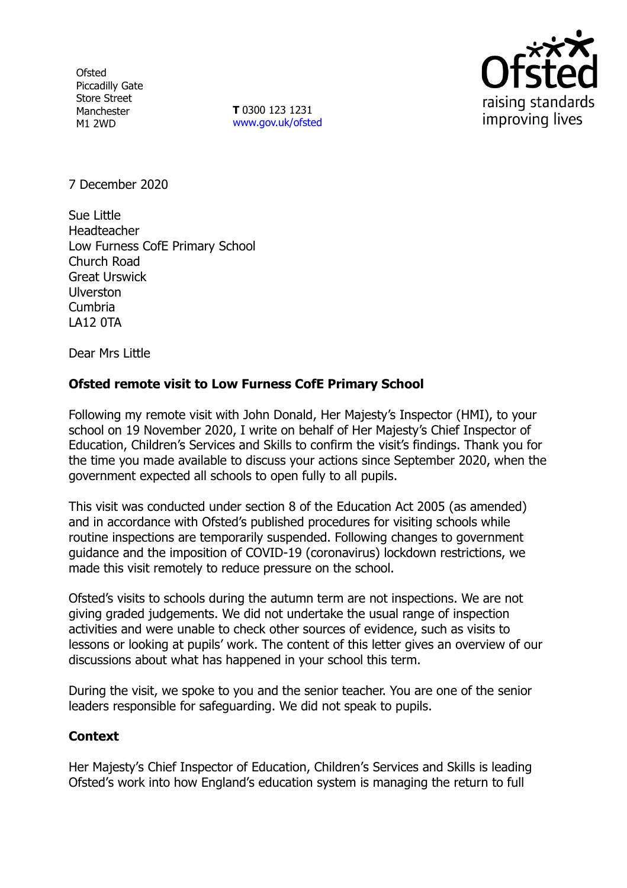**Ofsted** Piccadilly Gate Store Street Manchester M1 2WD

**T** 0300 123 1231 [www.gov.uk/ofsted](http://www.gov.uk/ofsted)



7 December 2020

Sue Little Headteacher Low Furness CofE Primary School Church Road Great Urswick Ulverston Cumbria LA12 0TA

Dear Mrs Little

## **Ofsted remote visit to Low Furness CofE Primary School**

Following my remote visit with John Donald, Her Majesty's Inspector (HMI), to your school on 19 November 2020, I write on behalf of Her Majesty's Chief Inspector of Education, Children's Services and Skills to confirm the visit's findings. Thank you for the time you made available to discuss your actions since September 2020, when the government expected all schools to open fully to all pupils.

This visit was conducted under section 8 of the Education Act 2005 (as amended) and in accordance with Ofsted's published procedures for visiting schools while routine inspections are temporarily suspended. Following changes to government guidance and the imposition of COVID-19 (coronavirus) lockdown restrictions, we made this visit remotely to reduce pressure on the school.

Ofsted's visits to schools during the autumn term are not inspections. We are not giving graded judgements. We did not undertake the usual range of inspection activities and were unable to check other sources of evidence, such as visits to lessons or looking at pupils' work. The content of this letter gives an overview of our discussions about what has happened in your school this term.

During the visit, we spoke to you and the senior teacher. You are one of the senior leaders responsible for safeguarding. We did not speak to pupils.

## **Context**

Her Majesty's Chief Inspector of Education, Children's Services and Skills is leading Ofsted's work into how England's education system is managing the return to full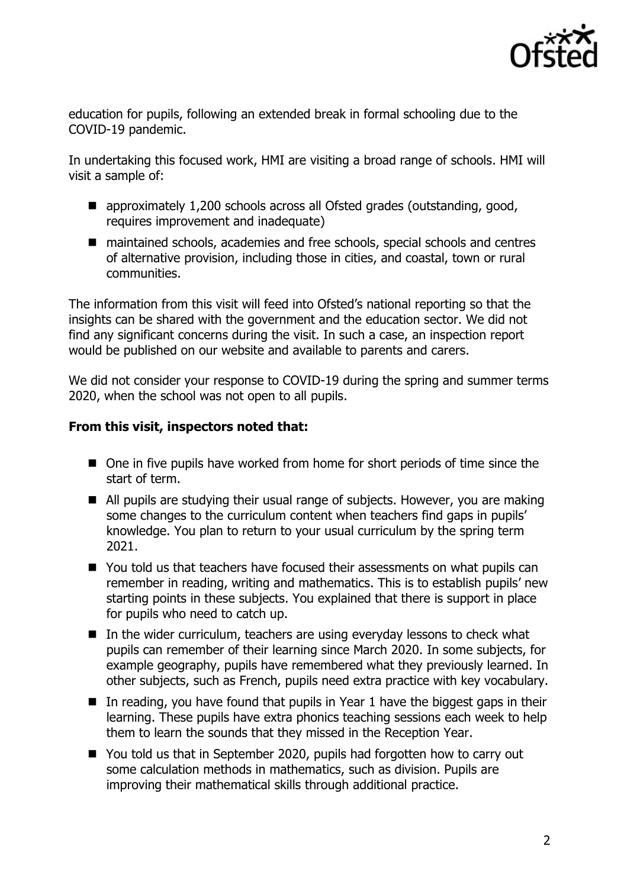

education for pupils, following an extended break in formal schooling due to the COVID-19 pandemic.

In undertaking this focused work, HMI are visiting a broad range of schools. HMI will visit a sample of:

- approximately 1,200 schools across all Ofsted grades (outstanding, good, requires improvement and inadequate)
- maintained schools, academies and free schools, special schools and centres of alternative provision, including those in cities, and coastal, town or rural communities.

The information from this visit will feed into Ofsted's national reporting so that the insights can be shared with the government and the education sector. We did not find any significant concerns during the visit. In such a case, an inspection report would be published on our website and available to parents and carers.

We did not consider your response to COVID-19 during the spring and summer terms 2020, when the school was not open to all pupils.

## **From this visit, inspectors noted that:**

- One in five pupils have worked from home for short periods of time since the start of term.
- All pupils are studying their usual range of subjects. However, you are making some changes to the curriculum content when teachers find gaps in pupils' knowledge. You plan to return to your usual curriculum by the spring term 2021.
- You told us that teachers have focused their assessments on what pupils can remember in reading, writing and mathematics. This is to establish pupils' new starting points in these subjects. You explained that there is support in place for pupils who need to catch up.
- In the wider curriculum, teachers are using everyday lessons to check what pupils can remember of their learning since March 2020. In some subjects, for example geography, pupils have remembered what they previously learned. In other subjects, such as French, pupils need extra practice with key vocabulary.
- In reading, you have found that pupils in Year 1 have the biggest gaps in their learning. These pupils have extra phonics teaching sessions each week to help them to learn the sounds that they missed in the Reception Year.
- You told us that in September 2020, pupils had forgotten how to carry out some calculation methods in mathematics, such as division. Pupils are improving their mathematical skills through additional practice.